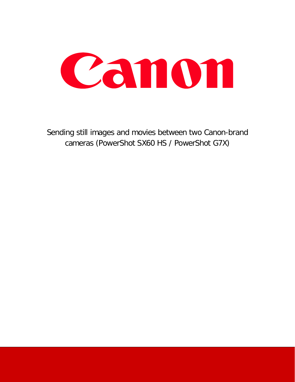

Sending still images and movies between two Canon-brand cameras (PowerShot SX60 HS / PowerShot G7X)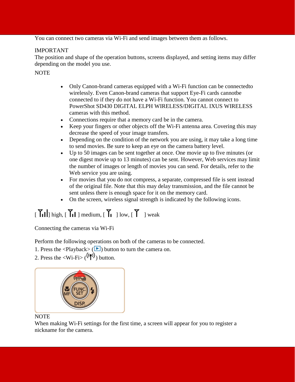You can connect two cameras via Wi-Fi and send images between them as follows.

### IMPORTANT

The position and shape of the operation buttons, screens displayed, and setting items may differ depending on the model you use.

NOTE

- Only Canon-brand cameras equipped with a Wi-Fi function can be connected to wirelessly. Even Canon-brand cameras that support Eye-Fi cards cannotbe connected to if they do not have a Wi-Fi function. You cannot connect to PowerShot SD430 DIGITAL ELPH WIRELESS/DIGITAL IXUS WIRELESS cameras with this method.
- Connections require that a memory card be in the camera.
- Keep your fingers or other objects off the Wi-Fi antenna area. Covering this may decrease the speed of your image transfers.
- Depending on the condition of the network you are using, it may take a long time to send movies. Be sure to keep an eye on the camera battery level.
- Up to 50 images can be sent together at once. One movie up to five minutes (or one digest movie up to 13 minutes) can be sent. However, Web services may limit the number of images or length of movies you can send. For details, refer to the Web service you are using.
- For movies that you do not compress, a separate, compressed file is sent instead of the original file. Note that this may delay transmission, and the file cannot be sent unless there is enough space for it on the memory card.
- On the screen, wireless signal strength is indicated by the following icons.

## $\begin{bmatrix} \mathbf{Y}_{\mathbf{I}} \end{bmatrix}$  high,  $\begin{bmatrix} \mathbf{Y}_{\mathbf{I}} \end{bmatrix}$  medium,  $\begin{bmatrix} \mathbf{Y}_{\mathbf{I}} \end{bmatrix}$  low,  $\begin{bmatrix} \mathbf{Y} \end{bmatrix}$  weak

Connecting the cameras via Wi-Fi

Perform the following operations on both of the cameras to be connected.

1. Press the  $\langle$ Playback $\rangle$  ( $\blacktriangleright$ ) button to turn the camera on.

2. Press the  $\langle W_i - F_i \rangle$  ( $(\langle \phi_i \rangle)$ ) button.



### NOTE

When making Wi-Fi settings for the first time, a screen will appear for you to register a nickname for the camera.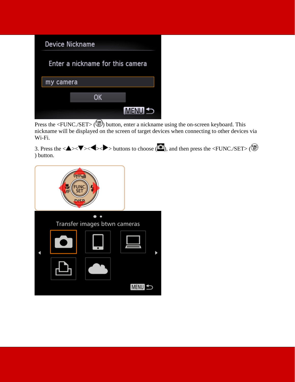# **Device Nickname** Enter a nickname for this camera my camera OK MENU<sup>t</sup>

Press the  $\langle$ FUNC./SET> ( $\circledast$ ) button, enter a nickname using the on-screen keyboard. This nickname will be displayed on the screen of target devices when connecting to other devices via Wi-Fi.

3. Press the  $\langle \blacktriangle \rangle \langle \blacktriangledown \rangle$  buttons to choose ( $\Box$ ), and then press the  $\langle \text{FUNC} / \text{SET} \rangle$  ( $\Box$ ) ) button.

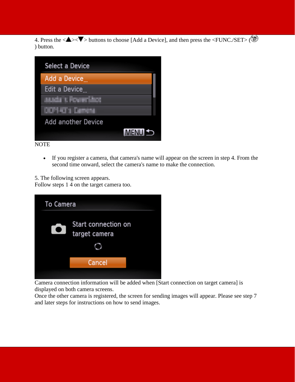4. Press the  $\langle \blacktriangle \rangle \langle \blacktriangledown \rangle$  buttons to choose [Add a Device], and then press the  $\langle \text{FUNC./SET}\rangle$  ( $\langle \blacktriangledown \rangle$ ) ) button.



NOTE

• If you register a camera, that camera's name will appear on the screen in step 4. From the second time onward, select the camera's name to make the connection.

5. The following screen appears.

Follow steps 1 4 on the target camera too.

| <b>To Camera</b> |                                      |
|------------------|--------------------------------------|
| $\bullet$        | Start connection on<br>target camera |
|                  |                                      |
|                  | Cancel                               |
|                  |                                      |

Camera connection information will be added when [Start connection on target camera] is displayed on both camera screens.

Once the other camera is registered, the screen for sending images will appear. Please see step 7 and later steps for instructions on how to send images.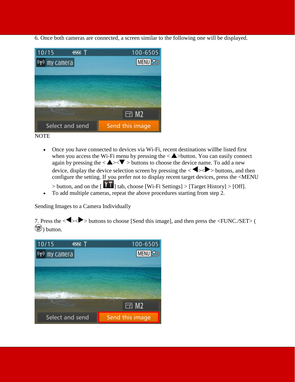6. Once both cameras are connected, a screen similar to the following one will be displayed.



**NOTE** 

- Once you have connected to devices via Wi-Fi, recent destinations will be listed first when you access the Wi-Fi menu by pressing the  $\langle \blacktriangle \rangle$ button. You can easily connect again by pressing the  $\langle \bullet \rangle \langle \bullet \rangle$  buttons to choose the device name. To add a new device, display the device selection screen by pressing the  $\langle \blacklozenge \rangle$  buttons, and then configure the setting. If you prefer not to display recent target devices, press the <MENU  $>$  button, and on the  $\begin{bmatrix} 1 & 1 \end{bmatrix}$  tab, choose [Wi-Fi Settings]  $>$  [Target History]  $>$  [Off].
- To add multiple cameras, repeat the above procedures starting from step 2.

Sending Images to a Camera Individually

7. Press the  $\langle \blacklozenge \rangle$  buttons to choose [Send this image], and then press the  $\langle \text{FUNC} / \text{SET} \rangle$  ( **(SE)** button.

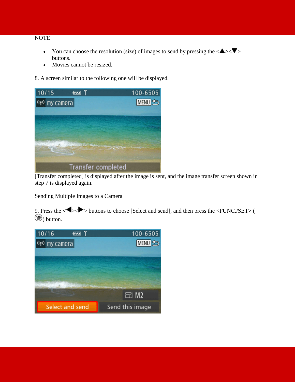#### NOTE

- You can choose the resolution (size) of images to send by pressing the  $\langle \blacktriangle \rangle \langle \blacktriangledown \rangle$ buttons.
- Movies cannot be resized.

8. A screen similar to the following one will be displayed.

| 10/15<br>$\sqrt{1}$       | $100 - 6505$  |
|---------------------------|---------------|
| (rv) my camera            | <b>MENU</b> S |
|                           |               |
|                           |               |
|                           |               |
|                           |               |
|                           |               |
|                           |               |
| <b>Transfer completed</b> |               |

[Transfer completed] is displayed after the image is sent, and the image transfer screen shown in step 7 is displayed again.

Sending Multiple Images to a Camera

9. Press the  $\langle \blacklozenge \rangle$  buttons to choose [Select and send], and then press the  $\langle \text{FUNC} \rangle$ **(1)** button.